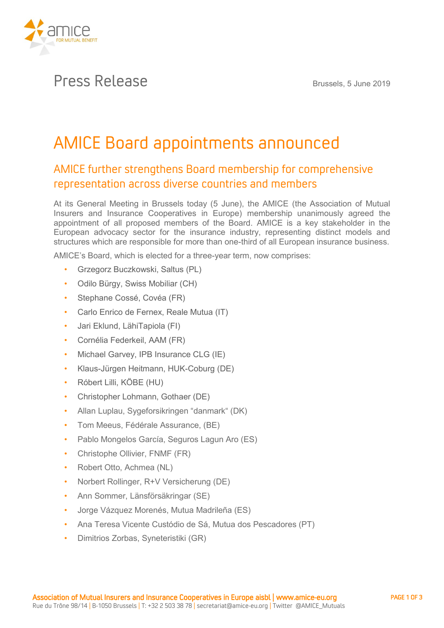

## Press Release **Brussels, 5 June <sup>2019</sup>**

# AMICE Board appointments announced

### AMICE further strengthens Board membership for comprehensive representation across diverse countries and members

**At its General Meeting in Brussels today (5 June), the AMICE (the Association of Mutual Insurers and Insurance Cooperatives in Europe) membership unanimously agreed the appointment of all proposed members of the Board. AMICE is a key stakeholder in the European advocacy sector for the insurance industry, representing distinct models and structures which are responsible for more than one-third of all European insurance business.**

**AMICE's Board, which is elected for a three-year term, now comprises:**

- **Grzegorz Buczkowski, Saltus (PL)**
- **Odilo Bürgy, Swiss Mobiliar (CH)**
- **Stephane Cossé, Covéa (FR)**
- **Carlo Enrico de Fernex, Reale Mutua (IT)**
- **Jari Eklund, LähiTapiola (FI)**
- **Cornélia Federkeil, AAM (FR)**
- **Michael Garvey, IPB Insurance CLG (IE)**
- **Klaus-Jürgen Heitmann, HUK-Coburg (DE)**
- **Róbert Lilli, KÖBE (HU)**
- **Christopher Lohmann, Gothaer (DE)**
- **Allan Luplau, Sygeforsikringen "danmark" (DK)**
- **Tom Meeus, Fédérale Assurance, (BE)**
- **Pablo Mongelos García, Seguros Lagun Aro (ES)**
- **Christophe Ollivier, FNMF (FR)**
- **Robert Otto, Achmea (NL)**
- **Norbert Rollinger, R+V Versicherung (DE)**
- **Ann Sommer, Länsförsäkringar (SE)**
- **Jorge Vázquez Morenés, Mutua Madrileña (ES)**
- **Ana Teresa Vicente Custódio de Sá, Mutua dos Pescadores (PT)**
- **Dimitrios Zorbas, Syneteristiki (GR)**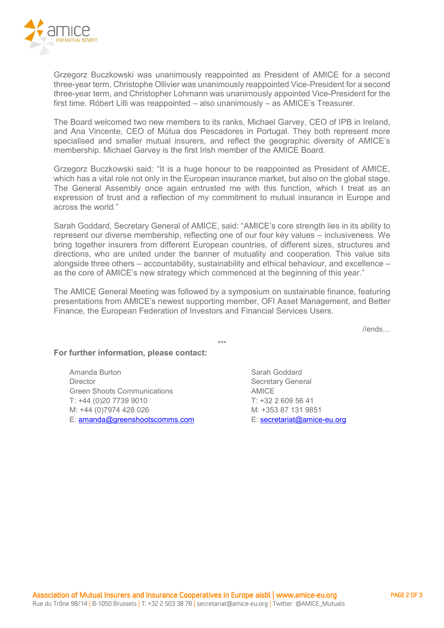

**Grzegorz Buczkowski was unanimously reappointed as President of AMICE for a second three-year term. Christophe Ollivier was unanimously reappointed Vice-President for a second three-year term, and Christopher Lohmann was unanimously appointed Vice-President for the first time. Róbert Lilli was reappointed – also unanimously – as AMICE's Treasurer.**

**The Board welcomed two new members to its ranks, Michael Garvey, CEO of IPB in Ireland, and Ana Vincente, CEO of Mútua dos Pescadores in Portugal. They both represent more specialised and smaller mutual insurers, and reflect the geographic diversity of AMICE's membership. Michael Garvey is the first Irish member of the AMICE Board.**

**Grzegorz Buczkowski said: "It is a huge honour to be reappointed as President of AMICE, which has a vital role not only in the European insurance market, but also on the global stage. The General Assembly once again entrusted me with this function, which I treat as an expression of trust and a reflection of my commitment to mutual insurance in Europe and across the world."**

**Sarah Goddard, Secretary General of AMICE, said: "AMICE's core strength lies in its ability to represent our diverse membership, reflecting one of our four key values – inclusiveness. We bring together insurers from different European countries, of different sizes, structures and directions, who are united under the banner of mutuality and cooperation. This value sits alongside three others – accountability, sustainability and ethical behaviour, and excellence – as the core of AMICE's new strategy which commenced at the beginning of this year."**

**The AMICE General Meeting was followed by a symposium on sustainable finance, featuring presentations from AMICE's newest supporting member, OFI Asset Management, and Better Finance, the European Federation of Investors and Financial Services Users.**

**\*\*\***

**//ends…**

#### **For further information, please contact:**

**Amanda Burton Director Green Shoots Communications T: +44 (0)20 7739 9010 M: +44 (0)7974 428 026 E: [amanda@greenshootscomms.com](mailto:amanda@greenshootscomms.com)**

**Sarah Goddard Secretary General AMICE T: +32 2 609 56 41 M: +353 87 131 9851 E: [secretariat@amice-eu.org](mailto:secretariat@amice-eu.org)**